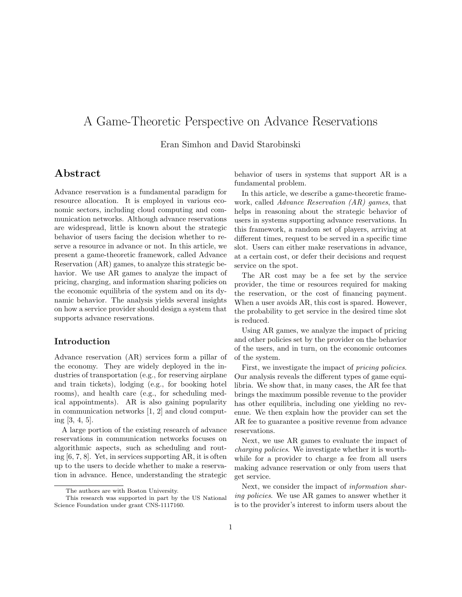# A Game-Theoretic Perspective on Advance Reservations

Eran Simhon and David Starobinski

### Abstract

Advance reservation is a fundamental paradigm for resource allocation. It is employed in various economic sectors, including cloud computing and communication networks. Although advance reservations are widespread, little is known about the strategic behavior of users facing the decision whether to reserve a resource in advance or not. In this article, we present a game-theoretic framework, called Advance Reservation (AR) games, to analyze this strategic behavior. We use AR games to analyze the impact of pricing, charging, and information sharing policies on the economic equilibria of the system and on its dynamic behavior. The analysis yields several insights on how a service provider should design a system that supports advance reservations.

#### Introduction

Advance reservation (AR) services form a pillar of the economy. They are widely deployed in the industries of transportation (e.g., for reserving airplane and train tickets), lodging (e.g., for booking hotel rooms), and health care (e.g., for scheduling medical appointments). AR is also gaining popularity in communication networks [1, 2] and cloud computing [3, 4, 5].

A large portion of the existing research of advance reservations in communication networks focuses on algorithmic aspects, such as scheduling and routing [6, 7, 8]. Yet, in services supporting AR, it is often up to the users to decide whether to make a reservation in advance. Hence, understanding the strategic

behavior of users in systems that support AR is a fundamental problem.

In this article, we describe a game-theoretic framework, called Advance Reservation (AR) games, that helps in reasoning about the strategic behavior of users in systems supporting advance reservations. In this framework, a random set of players, arriving at different times, request to be served in a specific time slot. Users can either make reservations in advance, at a certain cost, or defer their decisions and request service on the spot.

The AR cost may be a fee set by the service provider, the time or resources required for making the reservation, or the cost of financing payment. When a user avoids AR, this cost is spared. However, the probability to get service in the desired time slot is reduced.

Using AR games, we analyze the impact of pricing and other policies set by the provider on the behavior of the users, and in turn, on the economic outcomes of the system.

First, we investigate the impact of *pricing policies*. Our analysis reveals the different types of game equilibria. We show that, in many cases, the AR fee that brings the maximum possible revenue to the provider has other equilibria, including one yielding no revenue. We then explain how the provider can set the AR fee to guarantee a positive revenue from advance reservations.

Next, we use AR games to evaluate the impact of charging policies. We investigate whether it is worthwhile for a provider to charge a fee from all users making advance reservation or only from users that get service.

Next, we consider the impact of *information shar*ing policies. We use AR games to answer whether it is to the provider's interest to inform users about the

The authors are with Boston University.

This research was supported in part by the US National Science Foundation under grant CNS-1117160.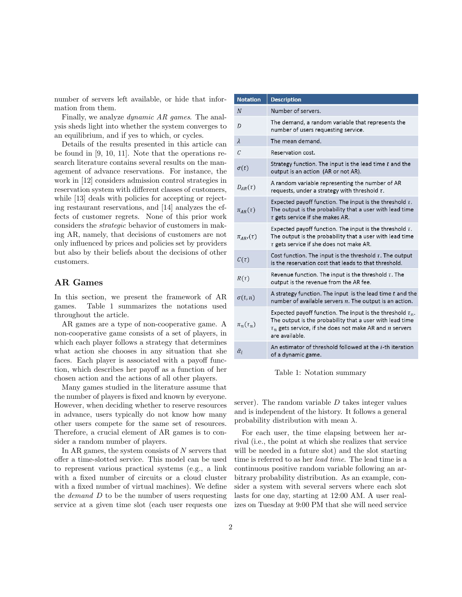number of servers left available, or hide that information from them.

Finally, we analyze dynamic AR games. The analysis sheds light into whether the system converges to an equilibrium, and if yes to which, or cycles.

Details of the results presented in this article can be found in [9, 10, 11]. Note that the operations research literature contains several results on the management of advance reservations. For instance, the work in [12] considers admission control strategies in reservation system with different classes of customers, while [13] deals with policies for accepting or rejecting restaurant reservations, and [14] analyzes the effects of customer regrets. None of this prior work considers the strategic behavior of customers in making AR, namely, that decisions of customers are not only influenced by prices and policies set by providers but also by their beliefs about the decisions of other customers.

#### AR Games

In this section, we present the framework of AR games. Table 1 summarizes the notations used throughout the article.

AR games are a type of non-cooperative game. A non-cooperative game consists of a set of players, in which each player follows a strategy that determines what action she chooses in any situation that she faces. Each player is associated with a payoff function, which describes her payoff as a function of her chosen action and the actions of all other players.

Many games studied in the literature assume that the number of players is fixed and known by everyone. However, when deciding whether to reserve resources in advance, users typically do not know how many other users compete for the same set of resources. Therefore, a crucial element of AR games is to consider a random number of players.

In AR games, the system consists of  $N$  servers that offer a time-slotted service. This model can be used to represent various practical systems (e.g., a link with a fixed number of circuits or a cloud cluster with a fixed number of virtual machines). We define the *demand* D to be the number of users requesting service at a given time slot (each user requests one

| <b>Notation</b>  | <b>Description</b>                                                                                                                                                                                            |
|------------------|---------------------------------------------------------------------------------------------------------------------------------------------------------------------------------------------------------------|
| $\overline{N}$   | Number of servers.                                                                                                                                                                                            |
| D                | The demand, a random variable that represents the<br>number of users requesting service.                                                                                                                      |
| $\lambda$        | The mean demand.                                                                                                                                                                                              |
| $\mathcal{C}$    | Reservation cost.                                                                                                                                                                                             |
| $\sigma(t)$      | Strategy function. The input is the lead time $t$ and the<br>output is an action (AR or not AR).                                                                                                              |
| $D_{AR}(\tau)$   | A random variable representing the number of AR<br>requests, under a strategy with threshold $\tau$ .                                                                                                         |
| $\pi_{AR}(\tau)$ | Expected payoff function. The input is the threshold $\tau$ .<br>The output is the probability that a user with lead time<br>$\tau$ gets service if she makes AR.                                             |
| $\pi_{AB}(\tau)$ | Expected payoff function. The input is the threshold $\tau$ .<br>The output is the probability that a user with lead time<br>$\tau$ gets service if she does not make AR.                                     |
| $C(\tau)$        | Cost function. The input is the threshold $\tau$ . The output<br>is the reservation cost that leads to that threshold.                                                                                        |
| $R(\tau)$        | Revenue function. The input is the threshold $\tau$ . The<br>output is the revenue from the AR fee.                                                                                                           |
| $\sigma(t,n)$    | A strategy function. The input is the lead time $t$ and the<br>number of available servers $n$ . The output is an action.                                                                                     |
| $\pi_n(\tau_n)$  | Expected payoff function. The input is the threshold $\tau_n$ .<br>The output is the probability that a user with lead time<br>$\tau_n$ gets service, if she does not make AR and n servers<br>are available. |
| $\hat{\alpha}_i$ | An estimator of threshold followed at the <i>i</i> -th iteration<br>of a dynamic game.                                                                                                                        |

Table 1: Notation summary

server). The random variable  $D$  takes integer values and is independent of the history. It follows a general probability distribution with mean  $\lambda$ .

For each user, the time elapsing between her arrival (i.e., the point at which she realizes that service will be needed in a future slot) and the slot starting time is referred to as her lead time. The lead time is a continuous positive random variable following an arbitrary probability distribution. As an example, consider a system with several servers where each slot lasts for one day, starting at 12:00 AM. A user realizes on Tuesday at 9:00 PM that she will need service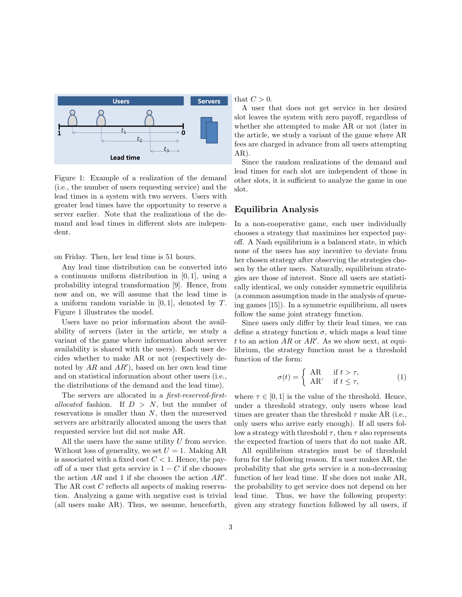

Figure 1: Example of a realization of the demand (i.e., the number of users requesting service) and the lead times in a system with two servers. Users with greater lead times have the opportunity to reserve a server earlier. Note that the realizations of the demand and lead times in different slots are independent.

on Friday. Then, her lead time is 51 hours.

Any lead time distribution can be converted into a continuous uniform distribution in [0, 1], using a probability integral transformation [9]. Hence, from now and on, we will assume that the lead time is a uniform random variable in  $[0, 1]$ , denoted by T. Figure 1 illustrates the model.

Users have no prior information about the availability of servers (later in the article, we study a variant of the game where information about server availability is shared with the users). Each user decides whether to make AR or not (respectively denoted by  $AR$  and  $AR'$ ), based on her own lead time and on statistical information about other users (i.e., the distributions of the demand and the lead time).

The servers are allocated in a first-reserved-firstallocated fashion. If  $D > N$ , but the number of reservations is smaller than  $N$ , then the unreserved servers are arbitrarily allocated among the users that requested service but did not make AR.

All the users have the same utility U from service. Without loss of generality, we set  $U = 1$ . Making AR is associated with a fixed cost  $C < 1$ . Hence, the payoff of a user that gets service is  $1 - C$  if she chooses the action  $AR$  and 1 if she chooses the action  $AR'$ . The AR cost C reflects all aspects of making reservation. Analyzing a game with negative cost is trivial (all users make AR). Thus, we assume, henceforth, that  $C > 0$ .

A user that does not get service in her desired slot leaves the system with zero payoff, regardless of whether she attempted to make AR or not (later in the article, we study a variant of the game where AR fees are charged in advance from all users attempting AR).

Since the random realizations of the demand and lead times for each slot are independent of those in other slots, it is sufficient to analyze the game in one slot.

#### Equilibria Analysis

In a non-cooperative game, each user individually chooses a strategy that maximizes her expected payoff. A Nash equilibrium is a balanced state, in which none of the users has any incentive to deviate from her chosen strategy after observing the strategies chosen by the other users. Naturally, equilibrium strategies are those of interest. Since all users are statistically identical, we only consider symmetric equilibria (a common assumption made in the analysis of queueing games [15]). In a symmetric equilibrium, all users follow the same joint strategy function.

Since users only differ by their lead times, we can define a strategy function  $\sigma$ , which maps a lead time t to an action  $AR$  or  $AR'$ . As we show next, at equilibrium, the strategy function must be a threshold function of the form:

$$
\sigma(t) = \begin{cases} AR & \text{if } t > \tau, \\ AR' & \text{if } t \le \tau, \end{cases}
$$
 (1)

where  $\tau \in [0, 1]$  is the value of the threshold. Hence, under a threshold strategy, only users whose lead times are greater than the threshold  $\tau$  make AR (i.e., only users who arrive early enough). If all users follow a strategy with threshold  $\tau$ , then  $\tau$  also represents the expected fraction of users that do not make AR.

All equilibrium strategies must be of threshold form for the following reason. If a user makes AR, the probability that she gets service is a non-decreasing function of her lead time. If she does not make AR, the probability to get service does not depend on her lead time. Thus, we have the following property: given any strategy function followed by all users, if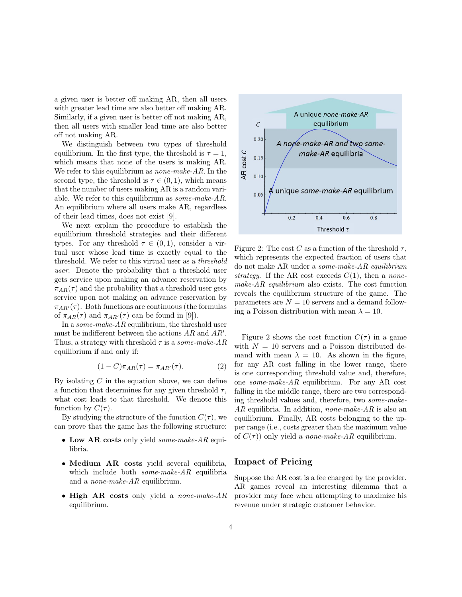a given user is better off making AR, then all users with greater lead time are also better off making AR. Similarly, if a given user is better off not making AR, then all users with smaller lead time are also better off not making AR.

We distinguish between two types of threshold equilibrium. In the first type, the threshold is  $\tau = 1$ , which means that none of the users is making AR. We refer to this equilibrium as *none-make-AR*. In the second type, the threshold is  $\tau \in (0,1)$ , which means that the number of users making AR is a random variable. We refer to this equilibrium as some-make-AR. An equilibrium where all users make AR, regardless of their lead times, does not exist [9].

We next explain the procedure to establish the equilibrium threshold strategies and their different types. For any threshold  $\tau \in (0,1)$ , consider a virtual user whose lead time is exactly equal to the threshold. We refer to this virtual user as a threshold user. Denote the probability that a threshold user gets service upon making an advance reservation by  $\pi_{AR}(\tau)$  and the probability that a threshold user gets service upon not making an advance reservation by  $\pi_{AB'}(\tau)$ . Both functions are continuous (the formulas of  $\pi_{AR}(\tau)$  and  $\pi_{AR'}(\tau)$  can be found in [9]).

In a some-make-AR equilibrium, the threshold user must be indifferent between the actions  $AR$  and  $AR'$ . Thus, a strategy with threshold  $\tau$  is a *some-make-AR* equilibrium if and only if:

$$
(1 - C)\pi_{AR}(\tau) = \pi_{AR'}(\tau). \tag{2}
$$

By isolating  $C$  in the equation above, we can define a function that determines for any given threshold  $\tau$ , what cost leads to that threshold. We denote this function by  $C(\tau)$ .

By studying the structure of the function  $C(\tau)$ , we can prove that the game has the following structure:

- Low AR costs only yield *some-make-AR* equilibria.
- Medium AR costs yield several equilibria, which include both  $some\text{-}make\text{-}AR$  equilibria and a none-make-AR equilibrium.
- High AR costs only yield a *none-make-AR* equilibrium.



Figure 2: The cost C as a function of the threshold  $\tau$ , which represents the expected fraction of users that do not make AR under a some-make-AR equilibrium strategy. If the AR cost exceeds  $C(1)$ , then a nonemake-AR equilibrium also exists. The cost function reveals the equilibrium structure of the game. The parameters are  $N = 10$  servers and a demand following a Poisson distribution with mean  $\lambda = 10$ .

Figure 2 shows the cost function  $C(\tau)$  in a game with  $N = 10$  servers and a Poisson distributed demand with mean  $\lambda = 10$ . As shown in the figure, for any AR cost falling in the lower range, there is one corresponding threshold value and, therefore, one some-make-AR equilibrium. For any AR cost falling in the middle range, there are two corresponding threshold values and, therefore, two some-make- $AR$  equilibria. In addition, none-make-AR is also an equilibrium. Finally, AR costs belonging to the upper range (i.e., costs greater than the maximum value of  $C(\tau)$  only yield a *none-make-AR* equilibrium.

#### Impact of Pricing

Suppose the AR cost is a fee charged by the provider. AR games reveal an interesting dilemma that a provider may face when attempting to maximize his revenue under strategic customer behavior.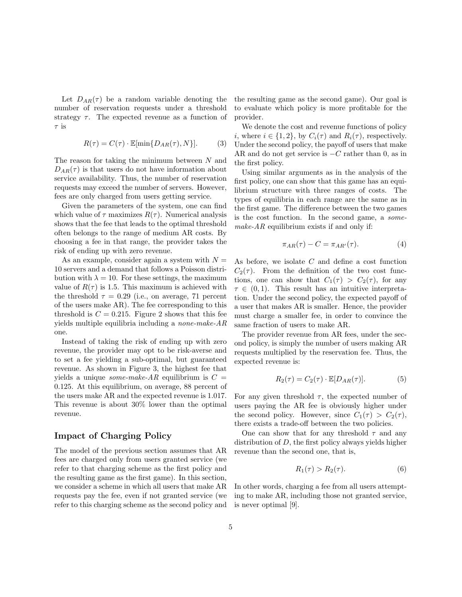Let  $D_{AR}(\tau)$  be a random variable denoting the number of reservation requests under a threshold strategy  $\tau$ . The expected revenue as a function of  $\tau$  is

$$
R(\tau) = C(\tau) \cdot \mathbb{E}[\min\{D_{AR}(\tau), N\}].\tag{3}
$$

The reason for taking the minimum between  $N$  and  $D_{AR}(\tau)$  is that users do not have information about service availability. Thus, the number of reservation requests may exceed the number of servers. However, fees are only charged from users getting service.

Given the parameters of the system, one can find which value of  $\tau$  maximizes  $R(\tau)$ . Numerical analysis shows that the fee that leads to the optimal threshold often belongs to the range of medium AR costs. By choosing a fee in that range, the provider takes the risk of ending up with zero revenue.

As an example, consider again a system with  $N =$ 10 servers and a demand that follows a Poisson distribution with  $\lambda = 10$ . For these settings, the maximum value of  $R(\tau)$  is 1.5. This maximum is achieved with the threshold  $\tau = 0.29$  (i.e., on average, 71 percent of the users make AR). The fee corresponding to this threshold is  $C = 0.215$ . Figure 2 shows that this fee yields multiple equilibria including a none-make-AR one.

Instead of taking the risk of ending up with zero revenue, the provider may opt to be risk-averse and to set a fee yielding a sub-optimal, but guaranteed revenue. As shown in Figure 3, the highest fee that yields a unique *some-make-AR* equilibrium is  $C =$ 0.125. At this equilibrium, on average, 88 percent of the users make AR and the expected revenue is 1.017. This revenue is about 30% lower than the optimal revenue.

#### Impact of Charging Policy

The model of the previous section assumes that AR fees are charged only from users granted service (we refer to that charging scheme as the first policy and the resulting game as the first game). In this section, we consider a scheme in which all users that make AR requests pay the fee, even if not granted service (we refer to this charging scheme as the second policy and the resulting game as the second game). Our goal is to evaluate which policy is more profitable for the provider.

We denote the cost and revenue functions of policy i, where  $i \in \{1, 2\}$ , by  $C_i(\tau)$  and  $R_i(\tau)$ , respectively. Under the second policy, the payoff of users that make AR and do not get service is  $-C$  rather than 0, as in the first policy.

Using similar arguments as in the analysis of the first policy, one can show that this game has an equilibrium structure with three ranges of costs. The types of equilibria in each range are the same as in the first game. The difference between the two games is the cost function. In the second game, a somemake-AR equilibrium exists if and only if:

$$
\pi_{AR}(\tau) - C = \pi_{AR'}(\tau). \tag{4}
$$

As before, we isolate  $C$  and define a cost function  $C_2(\tau)$ . From the definition of the two cost functions, one can show that  $C_1(\tau) > C_2(\tau)$ , for any  $\tau \in (0,1)$ . This result has an intuitive interpretation. Under the second policy, the expected payoff of a user that makes AR is smaller. Hence, the provider must charge a smaller fee, in order to convince the same fraction of users to make AR.

The provider revenue from AR fees, under the second policy, is simply the number of users making AR requests multiplied by the reservation fee. Thus, the expected revenue is:

$$
R_2(\tau) = C_2(\tau) \cdot \mathbb{E}[D_{AR}(\tau)]. \tag{5}
$$

For any given threshold  $\tau$ , the expected number of users paying the AR fee is obviously higher under the second policy. However, since  $C_1(\tau) > C_2(\tau)$ , there exists a trade-off between the two policies.

One can show that for any threshold  $\tau$  and any distribution of  $D$ , the first policy always yields higher revenue than the second one, that is,

$$
R_1(\tau) > R_2(\tau). \tag{6}
$$

In other words, charging a fee from all users attempting to make AR, including those not granted service, is never optimal [9].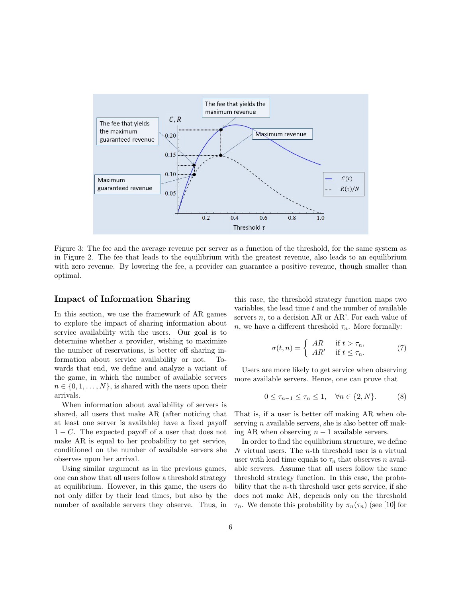

Figure 3: The fee and the average revenue per server as a function of the threshold, for the same system as in Figure 2. The fee that leads to the equilibrium with the greatest revenue, also leads to an equilibrium with zero revenue. By lowering the fee, a provider can guarantee a positive revenue, though smaller than optimal.

#### Impact of Information Sharing

In this section, we use the framework of AR games to explore the impact of sharing information about service availability with the users. Our goal is to determine whether a provider, wishing to maximize the number of reservations, is better off sharing information about service availability or not. Towards that end, we define and analyze a variant of the game, in which the number of available servers  $n \in \{0, 1, \ldots, N\}$ , is shared with the users upon their arrivals.

When information about availability of servers is shared, all users that make AR (after noticing that at least one server is available) have a fixed payoff  $1 - C$ . The expected payoff of a user that does not make AR is equal to her probability to get service, conditioned on the number of available servers she observes upon her arrival.

Using similar argument as in the previous games, one can show that all users follow a threshold strategy at equilibrium. However, in this game, the users do not only differ by their lead times, but also by the number of available servers they observe. Thus, in this case, the threshold strategy function maps two variables, the lead time  $t$  and the number of available servers  $n$ , to a decision AR or AR'. For each value of *n*, we have a different threshold  $\tau_n$ . More formally:

$$
\sigma(t,n) = \begin{cases} AR & \text{if } t > \tau_n, \\ AR' & \text{if } t \le \tau_n. \end{cases}
$$
 (7)

Users are more likely to get service when observing more available servers. Hence, one can prove that

$$
0 \le \tau_{n-1} \le \tau_n \le 1, \quad \forall n \in \{2, N\}. \tag{8}
$$

That is, if a user is better off making AR when observing  $n$  available servers, she is also better off making AR when observing  $n-1$  available servers.

In order to find the equilibrium structure, we define  $N$  virtual users. The  $n$ -th threshold user is a virtual user with lead time equals to  $\tau_n$  that observes n available servers. Assume that all users follow the same threshold strategy function. In this case, the probability that the  $n$ -th threshold user gets service, if she does not make AR, depends only on the threshold  $\tau_n$ . We denote this probability by  $\pi_n(\tau_n)$  (see [10] for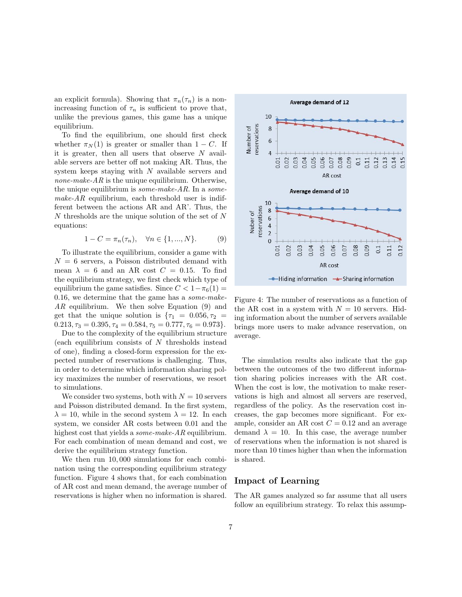an explicit formula). Showing that  $\pi_n(\tau_n)$  is a nonincreasing function of  $\tau_n$  is sufficient to prove that, unlike the previous games, this game has a unique equilibrium.

To find the equilibrium, one should first check whether  $\pi_N(1)$  is greater or smaller than  $1 - C$ . If it is greater, then all users that observe  $N$  available servers are better off not making AR. Thus, the system keeps staying with N available servers and *none-make-AR* is the unique equilibrium. Otherwise, the unique equilibrium is *some-make-AR*. In a *some* $make-AR$  equilibrium, each threshold user is indifferent between the actions AR and AR'. Thus, the N thresholds are the unique solution of the set of N equations:

$$
1 - C = \pi_n(\tau_n), \quad \forall n \in \{1, ..., N\}.
$$
 (9)

To illustrate the equilibrium, consider a game with  $N = 6$  servers, a Poisson distributed demand with mean  $\lambda = 6$  and an AR cost  $C = 0.15$ . To find the equilibrium strategy, we first check which type of equilibrium the game satisfies. Since  $C < 1-\pi_6(1) =$ 0.16, we determine that the game has a some-make-AR equilibrium. We then solve Equation (9) and get that the unique solution is  $\{\tau_1 = 0.056, \tau_2 =$  $0.213, \tau_3 = 0.395, \tau_4 = 0.584, \tau_5 = 0.777, \tau_6 = 0.973$ .

Due to the complexity of the equilibrium structure (each equilibrium consists of  $N$  thresholds instead of one), finding a closed-form expression for the expected number of reservations is challenging. Thus, in order to determine which information sharing policy maximizes the number of reservations, we resort to simulations.

We consider two systems, both with  $N = 10$  servers and Poisson distributed demand. In the first system,  $\lambda = 10$ , while in the second system  $\lambda = 12$ . In each system, we consider AR costs between 0.01 and the highest cost that yields a *some-make-AR* equilibrium. For each combination of mean demand and cost, we derive the equilibrium strategy function.

We then run  $10,000$  simulations for each combination using the corresponding equilibrium strategy function. Figure 4 shows that, for each combination of AR cost and mean demand, the average number of reservations is higher when no information is shared.



Figure 4: The number of reservations as a function of the AR cost in a system with  $N = 10$  servers. Hiding information about the number of servers available brings more users to make advance reservation, on average.

The simulation results also indicate that the gap between the outcomes of the two different information sharing policies increases with the AR cost. When the cost is low, the motivation to make reservations is high and almost all servers are reserved, regardless of the policy. As the reservation cost increases, the gap becomes more significant. For example, consider an AR cost  $C = 0.12$  and an average demand  $\lambda = 10$ . In this case, the average number of reservations when the information is not shared is more than 10 times higher than when the information is shared.

#### Impact of Learning

The AR games analyzed so far assume that all users follow an equilibrium strategy. To relax this assump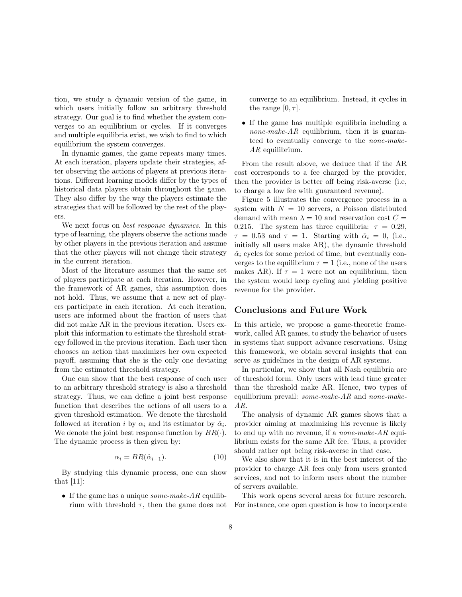tion, we study a dynamic version of the game, in which users initially follow an arbitrary threshold strategy. Our goal is to find whether the system converges to an equilibrium or cycles. If it converges and multiple equilibria exist, we wish to find to which equilibrium the system converges.

In dynamic games, the game repeats many times. At each iteration, players update their strategies, after observing the actions of players at previous iterations. Different learning models differ by the types of historical data players obtain throughout the game. They also differ by the way the players estimate the strategies that will be followed by the rest of the players.

We next focus on *best response dynamics*. In this type of learning, the players observe the actions made by other players in the previous iteration and assume that the other players will not change their strategy in the current iteration.

Most of the literature assumes that the same set of players participate at each iteration. However, in the framework of AR games, this assumption does not hold. Thus, we assume that a new set of players participate in each iteration. At each iteration, users are informed about the fraction of users that did not make AR in the previous iteration. Users exploit this information to estimate the threshold strategy followed in the previous iteration. Each user then chooses an action that maximizes her own expected payoff, assuming that she is the only one deviating from the estimated threshold strategy.

One can show that the best response of each user to an arbitrary threshold strategy is also a threshold strategy. Thus, we can define a joint best response function that describes the actions of all users to a given threshold estimation. We denote the threshold followed at iteration *i* by  $\alpha_i$  and its estimator by  $\hat{\alpha}_i$ . We denote the joint best response function by  $BR(\cdot)$ . The dynamic process is then given by:

$$
\alpha_i = BR(\hat{\alpha}_{i-1}). \tag{10}
$$

By studying this dynamic process, one can show that [11]:

• If the game has a unique *some-make-AR* equilibrium with threshold  $\tau$ , then the game does not converge to an equilibrium. Instead, it cycles in the range  $[0, \tau]$ .

• If the game has multiple equilibria including a none-make- $AR$  equilibrium, then it is guaranteed to eventually converge to the none-make-AR equilibrium.

From the result above, we deduce that if the AR cost corresponds to a fee charged by the provider, then the provider is better off being risk-averse (i.e, to charge a low fee with guaranteed revenue).

Figure 5 illustrates the convergence process in a system with  $N = 10$  servers, a Poisson distributed demand with mean  $\lambda = 10$  and reservation cost  $C =$ 0.215. The system has three equilibria:  $\tau = 0.29$ ,  $\tau = 0.53$  and  $\tau = 1$ . Starting with  $\hat{\alpha}_i = 0$ , (i.e., initially all users make AR), the dynamic threshold  $\hat{\alpha}_i$  cycles for some period of time, but eventually converges to the equilibrium  $\tau = 1$  (i.e., none of the users makes AR). If  $\tau = 1$  were not an equilibrium, then the system would keep cycling and yielding positive revenue for the provider.

#### Conclusions and Future Work

In this article, we propose a game-theoretic framework, called AR games, to study the behavior of users in systems that support advance reservations. Using this framework, we obtain several insights that can serve as guidelines in the design of AR systems.

In particular, we show that all Nash equilibria are of threshold form. Only users with lead time greater than the threshold make AR. Hence, two types of equilibrium prevail: some-make-AR and none-make-AR.

The analysis of dynamic AR games shows that a provider aiming at maximizing his revenue is likely to end up with no revenue, if a *none-make-AR* equilibrium exists for the same AR fee. Thus, a provider should rather opt being risk-averse in that case.

We also show that it is in the best interest of the provider to charge AR fees only from users granted services, and not to inform users about the number of servers available.

This work opens several areas for future research. For instance, one open question is how to incorporate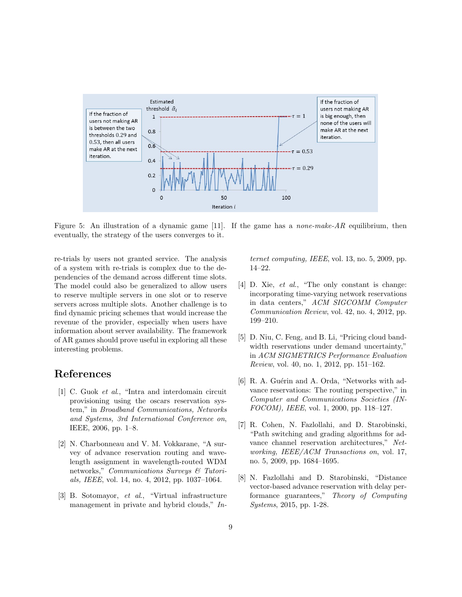

Figure 5: An illustration of a dynamic game [11]. If the game has a *none-make-AR* equilibrium, then eventually, the strategy of the users converges to it.

re-trials by users not granted service. The analysis of a system with re-trials is complex due to the dependencies of the demand across different time slots. The model could also be generalized to allow users to reserve multiple servers in one slot or to reserve servers across multiple slots. Another challenge is to find dynamic pricing schemes that would increase the revenue of the provider, especially when users have information about server availability. The framework of AR games should prove useful in exploring all these interesting problems.

## References

- [1] C. Guok et al., "Intra and interdomain circuit provisioning using the oscars reservation system," in Broadband Communications, Networks and Systems, 3rd International Conference on, IEEE, 2006, pp. 1–8.
- [2] N. Charbonneau and V. M. Vokkarane, "A survey of advance reservation routing and wavelength assignment in wavelength-routed WDM networks," Communications Surveys & Tutorials, IEEE, vol. 14, no. 4, 2012, pp. 1037–1064.
- [3] B. Sotomayor, et al., "Virtual infrastructure management in private and hybrid clouds," In-

ternet computing, IEEE, vol. 13, no. 5, 2009, pp. 14–22.

- [4] D. Xie, *et al.*, "The only constant is change: incorporating time-varying network reservations in data centers," ACM SIGCOMM Computer Communication Review, vol. 42, no. 4, 2012, pp. 199–210.
- [5] D. Niu, C. Feng, and B. Li, "Pricing cloud bandwidth reservations under demand uncertainty," in ACM SIGMETRICS Performance Evaluation Review, vol. 40, no. 1, 2012, pp. 151–162.
- [6] R. A. Guérin and A. Orda, "Networks with advance reservations: The routing perspective," in Computer and Communications Societies (IN-FOCOM), IEEE, vol. 1, 2000, pp. 118–127.
- [7] R. Cohen, N. Fazlollahi, and D. Starobinski, "Path switching and grading algorithms for advance channel reservation architectures," Networking, IEEE/ACM Transactions on, vol. 17, no. 5, 2009, pp. 1684–1695.
- [8] N. Fazlollahi and D. Starobinski, "Distance vector-based advance reservation with delay performance guarantees," Theory of Computing Systems, 2015, pp. 1-28.